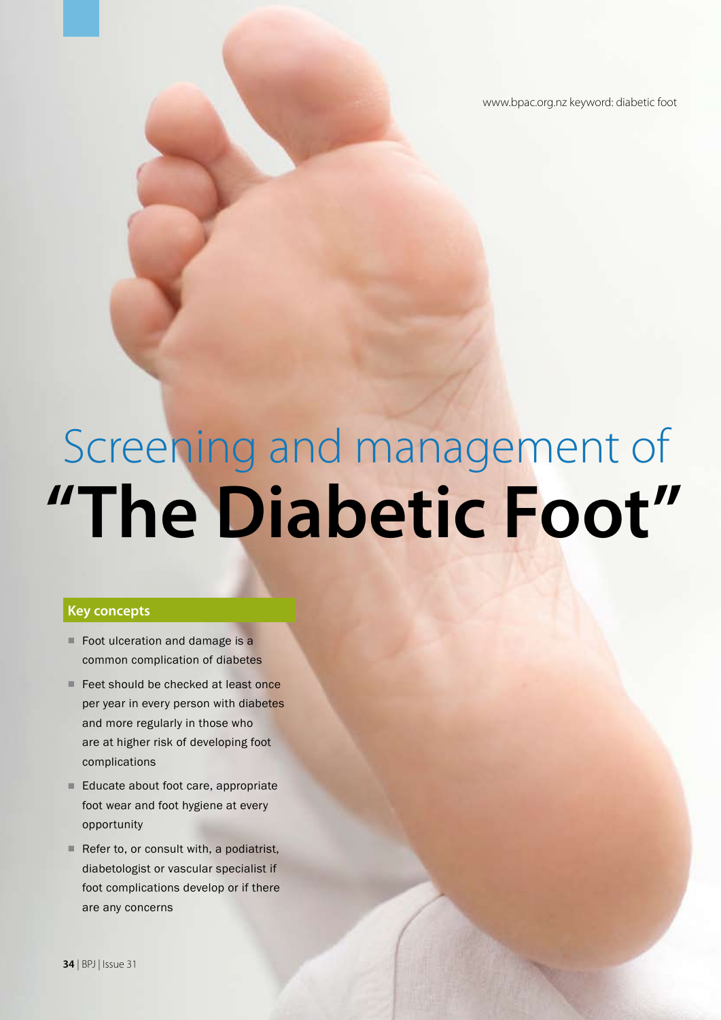www.bpac.org.nz keyword: diabetic foot

# **"The Diabetic Foot"** Screening and management of

## **Key concepts**

- Foot ulceration and damage is a common complication of diabetes
- Feet should be checked at least once per year in every person with diabetes and more regularly in those who are at higher risk of developing foot complications
- Educate about foot care, appropriate foot wear and foot hygiene at every opportunity
- Refer to, or consult with, a podiatrist, diabetologist or vascular specialist if foot complications develop or if there are any concerns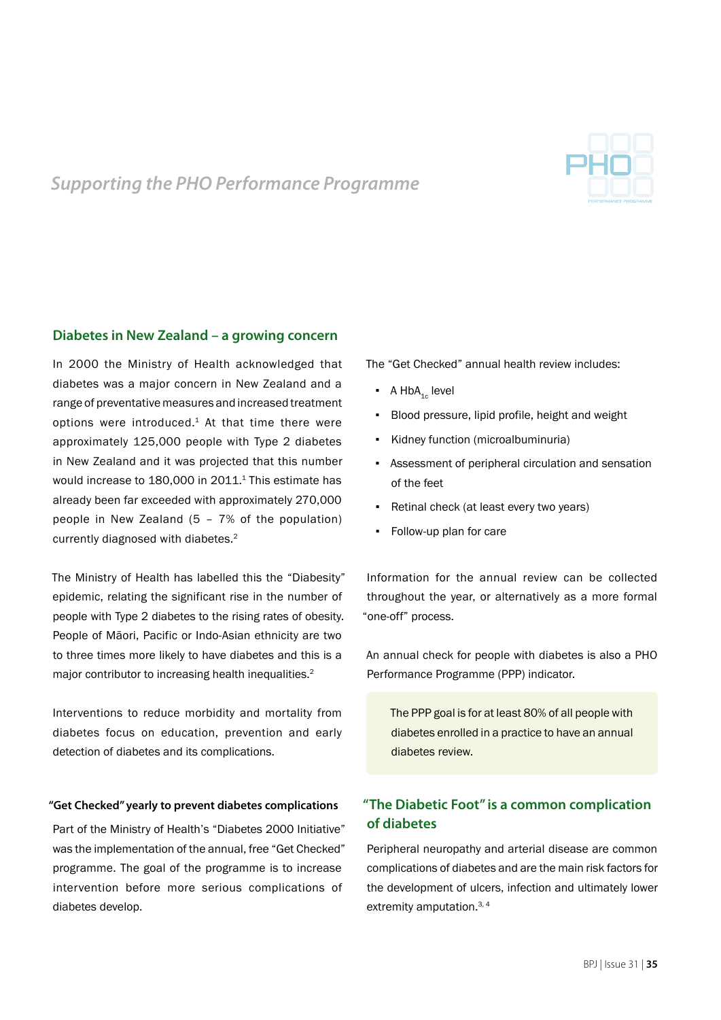

## *Supporting the PHO Performance Programme*

## **Diabetes in New Zealand – a growing concern**

In 2000 the Ministry of Health acknowledged that diabetes was a major concern in New Zealand and a range of preventative measures and increased treatment options were introduced.<sup>1</sup> At that time there were approximately 125,000 people with Type 2 diabetes in New Zealand and it was projected that this number would increase to 180,000 in 2011.<sup>1</sup> This estimate has already been far exceeded with approximately 270,000 people in New Zealand (5 – 7% of the population) currently diagnosed with diabetes.<sup>2</sup>

The Ministry of Health has labelled this the "Diabesity" epidemic, relating the significant rise in the number of people with Type 2 diabetes to the rising rates of obesity. People of Māori, Pacific or Indo-Asian ethnicity are two to three times more likely to have diabetes and this is a major contributor to increasing health inequalities.<sup>2</sup>

Interventions to reduce morbidity and mortality from diabetes focus on education, prevention and early detection of diabetes and its complications.

#### **"Get Checked" yearly to prevent diabetes complications**

Part of the Ministry of Health's "Diabetes 2000 Initiative" was the implementation of the annual, free "Get Checked" programme. The goal of the programme is to increase intervention before more serious complications of diabetes develop.

The "Get Checked" annual health review includes:

- $\bullet$  A HbA<sub>1c</sub> level
- Blood pressure, lipid profile, height and weight
- Kidney function (microalbuminuria)
- Assessment of peripheral circulation and sensation of the feet
- Retinal check (at least every two years)
- Follow-up plan for care

Information for the annual review can be collected throughout the year, or alternatively as a more formal "one-off" process.

An annual check for people with diabetes is also a PHO Performance Programme (PPP) indicator.

The PPP goal is for at least 80% of all people with diabetes enrolled in a practice to have an annual diabetes review.

## **"The Diabetic Foot" is a common complication of diabetes**

Peripheral neuropathy and arterial disease are common complications of diabetes and are the main risk factors for the development of ulcers, infection and ultimately lower extremity amputation.<sup>3, 4</sup>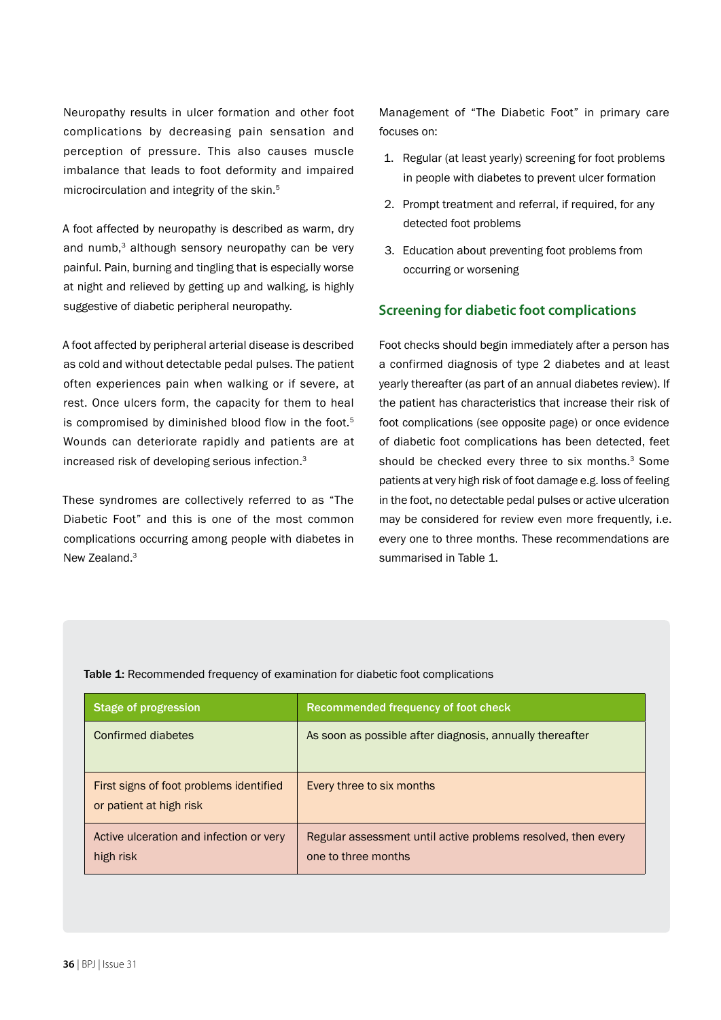Neuropathy results in ulcer formation and other foot complications by decreasing pain sensation and perception of pressure. This also causes muscle imbalance that leads to foot deformity and impaired microcirculation and integrity of the skin.<sup>5</sup>

A foot affected by neuropathy is described as warm, dry and numb.<sup>3</sup> although sensory neuropathy can be very painful. Pain, burning and tingling that is especially worse at night and relieved by getting up and walking, is highly suggestive of diabetic peripheral neuropathy.

A foot affected by peripheral arterial disease is described as cold and without detectable pedal pulses. The patient often experiences pain when walking or if severe, at rest. Once ulcers form, the capacity for them to heal is compromised by diminished blood flow in the foot.<sup>5</sup> Wounds can deteriorate rapidly and patients are at increased risk of developing serious infection.3

These syndromes are collectively referred to as "The Diabetic Foot" and this is one of the most common complications occurring among people with diabetes in New Zealand.<sup>3</sup>

Management of "The Diabetic Foot" in primary care focuses on:

- 1. Regular (at least yearly) screening for foot problems in people with diabetes to prevent ulcer formation
- 2. Prompt treatment and referral, if required, for any detected foot problems
- 3. Education about preventing foot problems from occurring or worsening

## **Screening for diabetic foot complications**

Foot checks should begin immediately after a person has a confirmed diagnosis of type 2 diabetes and at least yearly thereafter (as part of an annual diabetes review). If the patient has characteristics that increase their risk of foot complications (see opposite page) or once evidence of diabetic foot complications has been detected, feet should be checked every three to six months.<sup>3</sup> Some patients at very high risk of foot damage e.g. loss of feeling in the foot, no detectable pedal pulses or active ulceration may be considered for review even more frequently, i.e. every one to three months. These recommendations are summarised in Table 1.

| Stage of progression                                               | Recommended frequency of foot check                                                  |
|--------------------------------------------------------------------|--------------------------------------------------------------------------------------|
| Confirmed diabetes                                                 | As soon as possible after diagnosis, annually thereafter                             |
| First signs of foot problems identified<br>or patient at high risk | Every three to six months                                                            |
| Active ulceration and infection or very<br>high risk               | Regular assessment until active problems resolved, then every<br>one to three months |

Table 1: Recommended frequency of examination for diabetic foot complications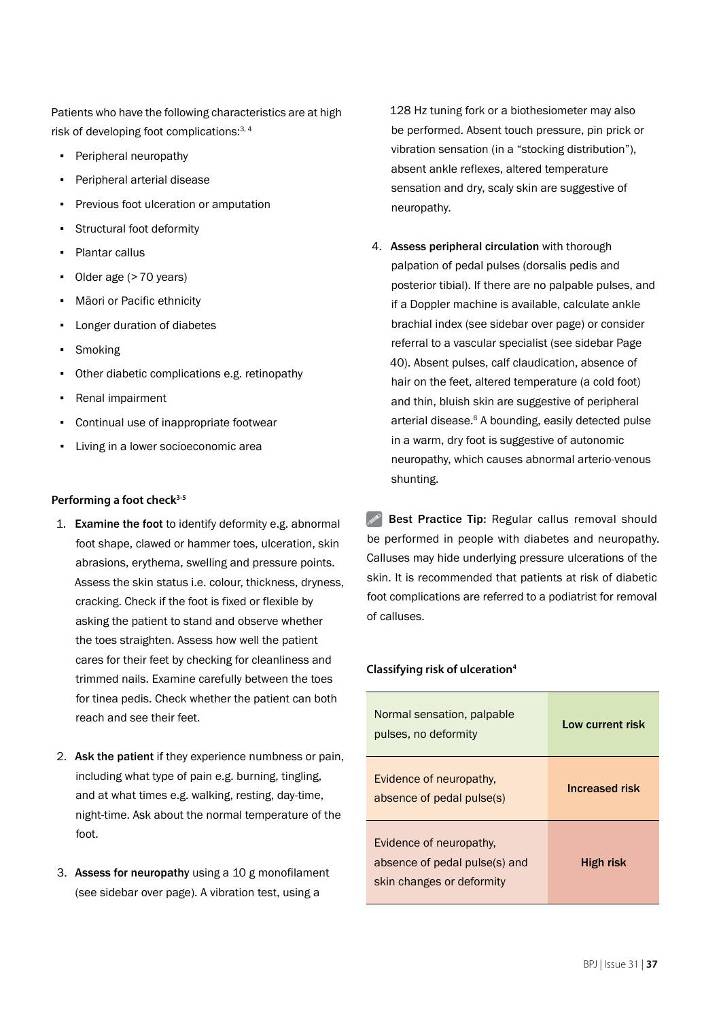Patients who have the following characteristics are at high risk of developing foot complications:<sup>3, 4</sup>

- Peripheral neuropathy
- Peripheral arterial disease
- Previous foot ulceration or amputation
- Structural foot deformity
- Plantar callus
- Older age (>70 years)
- Māori or Pacific ethnicity
- Longer duration of diabetes
- Smoking
- Other diabetic complications e.g. retinopathy
- Renal impairment
- Continual use of inappropriate footwear
- Living in a lower socioeconomic area

#### Performing a foot check<sup>3-5</sup>

- 1. Examine the foot to identify deformity e.g. abnormal foot shape, clawed or hammer toes, ulceration, skin abrasions, erythema, swelling and pressure points. Assess the skin status i.e. colour, thickness, dryness, cracking. Check if the foot is fixed or flexible by asking the patient to stand and observe whether the toes straighten. Assess how well the patient cares for their feet by checking for cleanliness and trimmed nails. Examine carefully between the toes for tinea pedis. Check whether the patient can both reach and see their feet.
- 2. Ask the patient if they experience numbness or pain, including what type of pain e.g. burning, tingling, and at what times e.g. walking, resting, day-time, night-time. Ask about the normal temperature of the foot.
- 3. Assess for neuropathy using a 10 g monofilament (see sidebar over page). A vibration test, using a

128 Hz tuning fork or a biothesiometer may also be performed. Absent touch pressure, pin prick or vibration sensation (in a "stocking distribution"), absent ankle reflexes, altered temperature sensation and dry, scaly skin are suggestive of neuropathy.

4. Assess peripheral circulation with thorough palpation of pedal pulses (dorsalis pedis and posterior tibial). If there are no palpable pulses, and if a Doppler machine is available, calculate ankle brachial index (see sidebar over page) or consider referral to a vascular specialist (see sidebar Page 40). Absent pulses, calf claudication, absence of hair on the feet, altered temperature (a cold foot) and thin, bluish skin are suggestive of peripheral arterial disease.<sup>6</sup> A bounding, easily detected pulse in a warm, dry foot is suggestive of autonomic neuropathy, which causes abnormal arterio-venous shunting.

 $\mathscr{P}$  Best Practice Tip: Regular callus removal should be performed in people with diabetes and neuropathy. Calluses may hide underlying pressure ulcerations of the skin. It is recommended that patients at risk of diabetic foot complications are referred to a podiatrist for removal of calluses.

#### **Classifying risk of ulceration4**

| Normal sensation, palpable<br>pulses, no deformity                                    | Low current risk |
|---------------------------------------------------------------------------------------|------------------|
| Evidence of neuropathy.<br>absence of pedal pulse(s)                                  | Increased risk   |
| Evidence of neuropathy.<br>absence of pedal pulse(s) and<br>skin changes or deformity | High risk        |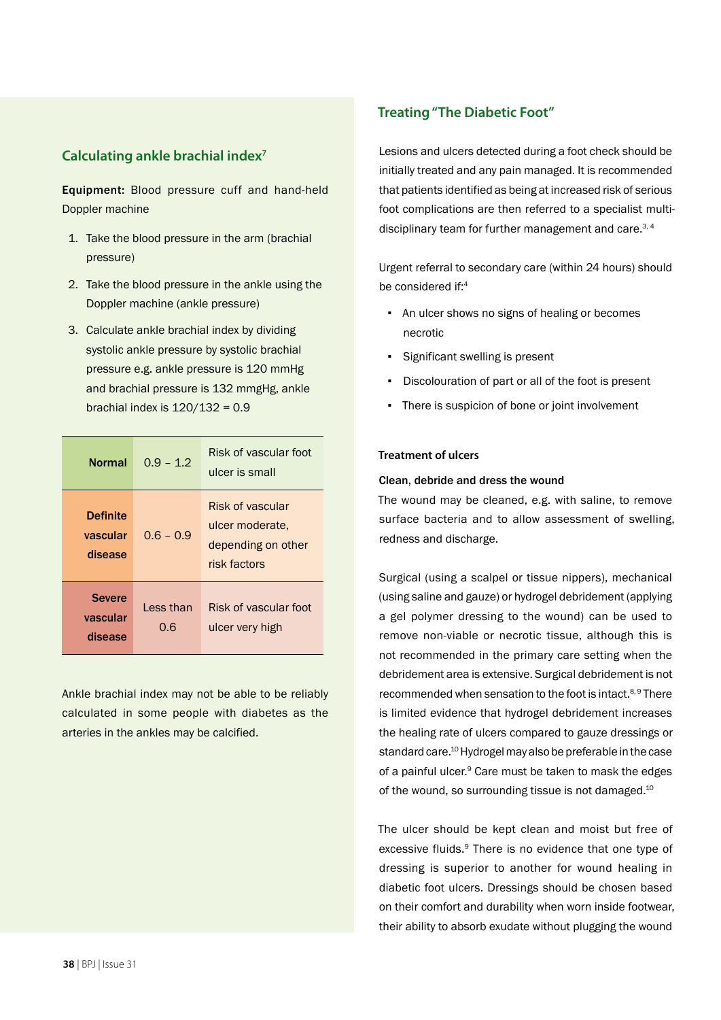## **Calculating ankle brachial index7**

Equipment: Blood pressure cuff and hand-held Doppler machine

- 1. Take the blood pressure in the arm (brachial pressure)
- 2. Take the blood pressure in the ankle using the Doppler machine (ankle pressure)
- 3. Calculate ankle brachial index by dividing systolic ankle pressure by systolic brachial pressure e.g. ankle pressure is 120 mmHg and brachial pressure is 132 mmgHg, ankle brachial index is  $120/132 = 0.9$

| <b>Normal</b>                          | $0.9 - 1.2$      | Risk of vascular foot<br>ulcer is small                                   |
|----------------------------------------|------------------|---------------------------------------------------------------------------|
| <b>Definite</b><br>vascular<br>disease | $0.6 - 0.9$      | Risk of vascular<br>ulcer moderate.<br>depending on other<br>risk factors |
| <b>Severe</b><br>vascular<br>disease   | Less than<br>0.6 | Risk of vascular foot<br>ulcer very high                                  |

Ankle brachial index may not be able to be reliably calculated in some people with diabetes as the arteries in the ankles may be calcified.

## **Treating "The Diabetic Foot"**

Lesions and ulcers detected during a foot check should be initially treated and any pain managed. It is recommended that patients identified as being at increased risk of serious foot complications are then referred to a specialist multidisciplinary team for further management and care.<sup>3, 4</sup>

Urgent referral to secondary care (within 24 hours) should be considered if:<sup>4</sup>

- An ulcer shows no signs of healing or becomes necrotic
- Significant swelling is present
- Discolouration of part or all of the foot is present
- There is suspicion of bone or joint involvement

#### **Treatment of ulcers**

#### Clean, debride and dress the wound

The wound may be cleaned, e.g. with saline, to remove surface bacteria and to allow assessment of swelling, redness and discharge.

Surgical (using a scalpel or tissue nippers), mechanical (using saline and gauze) or hydrogel debridement (applying a gel polymer dressing to the wound) can be used to remove non-viable or necrotic tissue, although this is not recommended in the primary care setting when the debridement area is extensive. Surgical debridement is not recommended when sensation to the foot is intact.<sup>8,9</sup> There is limited evidence that hydrogel debridement increases the healing rate of ulcers compared to gauze dressings or standard care.10 Hydrogel may also be preferable in the case of a painful ulcer.<sup>9</sup> Care must be taken to mask the edges of the wound, so surrounding tissue is not damaged.<sup>10</sup>

The ulcer should be kept clean and moist but free of excessive fluids.<sup>9</sup> There is no evidence that one type of dressing is superior to another for wound healing in diabetic foot ulcers. Dressings should be chosen based on their comfort and durability when worn inside footwear, their ability to absorb exudate without plugging the wound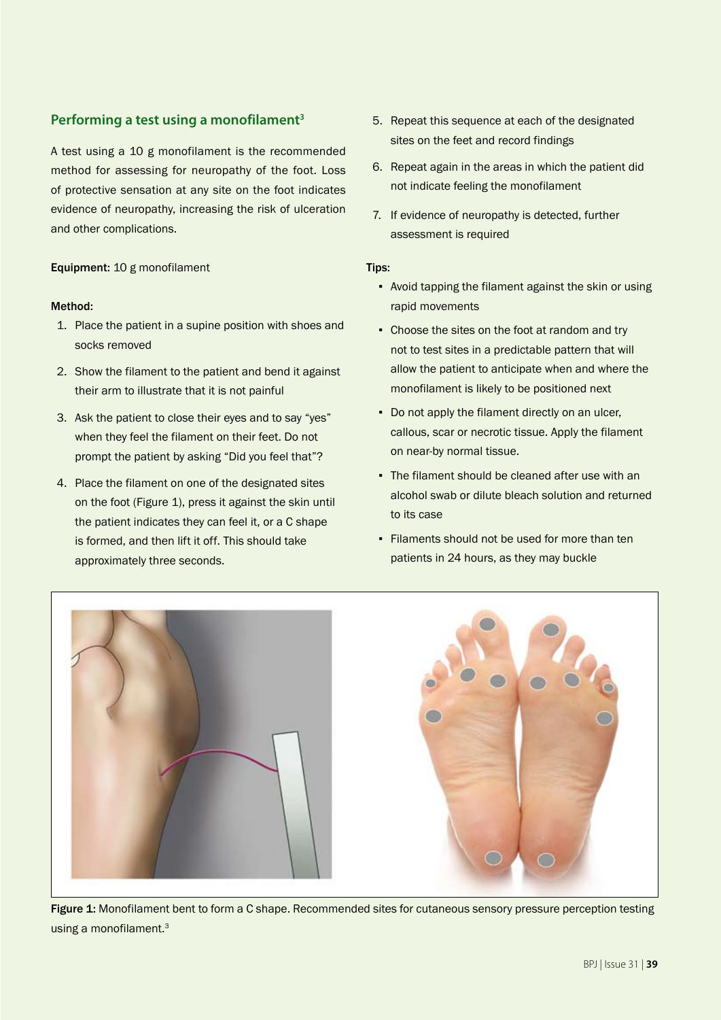## **Performing a test using a monofilament3**

A test using a 10 g monofilament is the recommended method for assessing for neuropathy of the foot. Loss of protective sensation at any site on the foot indicates evidence of neuropathy, increasing the risk of ulceration and other complications.

## Equipment: 10 g monofilament

## Method:

- 1. Place the patient in a supine position with shoes and socks removed
- 2. Show the filament to the patient and bend it against their arm to illustrate that it is not painful
- 3. Ask the patient to close their eyes and to say "yes" when they feel the filament on their feet. Do not prompt the patient by asking "Did you feel that"?
- 4. Place the filament on one of the designated sites on the foot (Figure 1), press it against the skin until the patient indicates they can feel it, or a C shape is formed, and then lift it off. This should take approximately three seconds.
- 5. Repeat this sequence at each of the designated sites on the feet and record findings
- 6. Repeat again in the areas in which the patient did not indicate feeling the monofilament
- 7. If evidence of neuropathy is detected, further assessment is required

#### Tips:

- Avoid tapping the filament against the skin or using rapid movements
- Choose the sites on the foot at random and try not to test sites in a predictable pattern that will allow the patient to anticipate when and where the monofilament is likely to be positioned next
- Do not apply the filament directly on an ulcer, callous, scar or necrotic tissue. Apply the filament on near-by normal tissue.
- The filament should be cleaned after use with an alcohol swab or dilute bleach solution and returned to its case
- Filaments should not be used for more than ten patients in 24 hours, as they may buckle



Figure 1: Monofilament bent to form a C shape. Recommended sites for cutaneous sensory pressure perception testing using a monofilament.3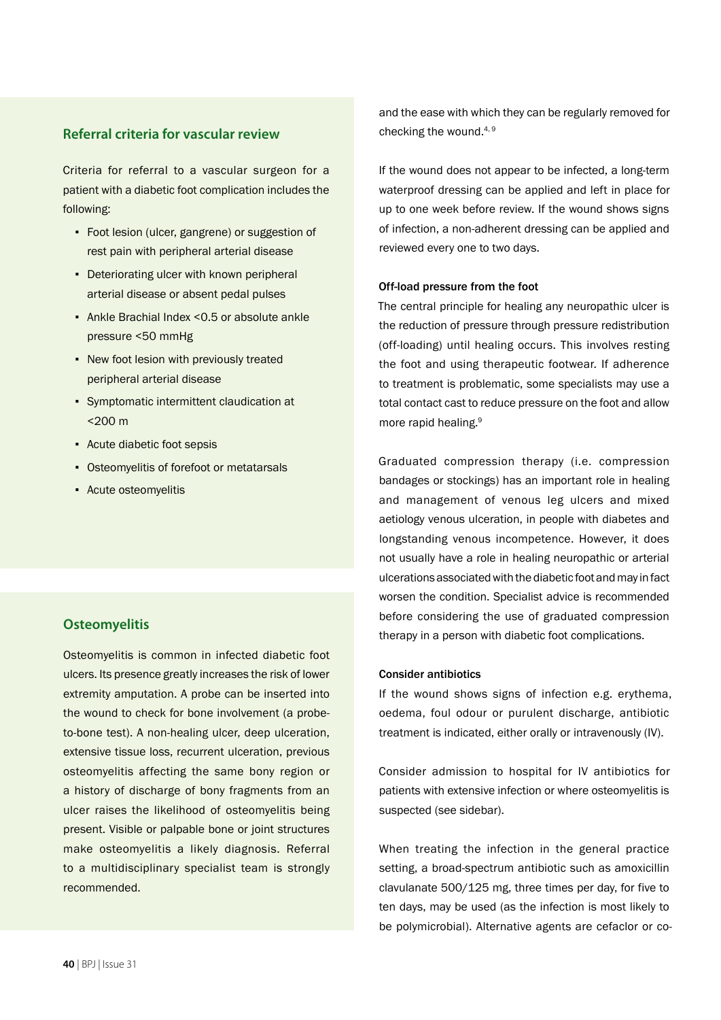## **Referral criteria for vascular review**

Criteria for referral to a vascular surgeon for a patient with a diabetic foot complication includes the following:

- Foot lesion (ulcer, gangrene) or suggestion of rest pain with peripheral arterial disease
- Deteriorating ulcer with known peripheral arterial disease or absent pedal pulses
- Ankle Brachial Index <0.5 or absolute ankle pressure <50 mmHg
- New foot lesion with previously treated peripheral arterial disease
- Symptomatic intermittent claudication at <200 m
- Acute diabetic foot sepsis
- Osteomyelitis of forefoot or metatarsals
- Acute osteomyelitis

## **Osteomyelitis**

Osteomyelitis is common in infected diabetic foot ulcers. Its presence greatly increases the risk of lower extremity amputation. A probe can be inserted into the wound to check for bone involvement (a probeto-bone test). A non-healing ulcer, deep ulceration, extensive tissue loss, recurrent ulceration, previous osteomyelitis affecting the same bony region or a history of discharge of bony fragments from an ulcer raises the likelihood of osteomyelitis being present. Visible or palpable bone or joint structures make osteomyelitis a likely diagnosis. Referral to a multidisciplinary specialist team is strongly recommended.

and the ease with which they can be regularly removed for checking the wound. $4, 9$ 

If the wound does not appear to be infected, a long-term waterproof dressing can be applied and left in place for up to one week before review. If the wound shows signs of infection, a non-adherent dressing can be applied and reviewed every one to two days.

#### Off-load pressure from the foot

The central principle for healing any neuropathic ulcer is the reduction of pressure through pressure redistribution (off-loading) until healing occurs. This involves resting the foot and using therapeutic footwear. If adherence to treatment is problematic, some specialists may use a total contact cast to reduce pressure on the foot and allow more rapid healing.9

Graduated compression therapy (i.e. compression bandages or stockings) has an important role in healing and management of venous leg ulcers and mixed aetiology venous ulceration, in people with diabetes and longstanding venous incompetence. However, it does not usually have a role in healing neuropathic or arterial ulcerations associated with the diabetic foot and may in fact worsen the condition. Specialist advice is recommended before considering the use of graduated compression therapy in a person with diabetic foot complications.

#### Consider antibiotics

If the wound shows signs of infection e.g. erythema, oedema, foul odour or purulent discharge, antibiotic treatment is indicated, either orally or intravenously (IV).

Consider admission to hospital for IV antibiotics for patients with extensive infection or where osteomyelitis is suspected (see sidebar).

When treating the infection in the general practice setting, a broad-spectrum antibiotic such as amoxicillin clavulanate 500/125 mg, three times per day, for five to ten days, may be used (as the infection is most likely to be polymicrobial). Alternative agents are cefaclor or co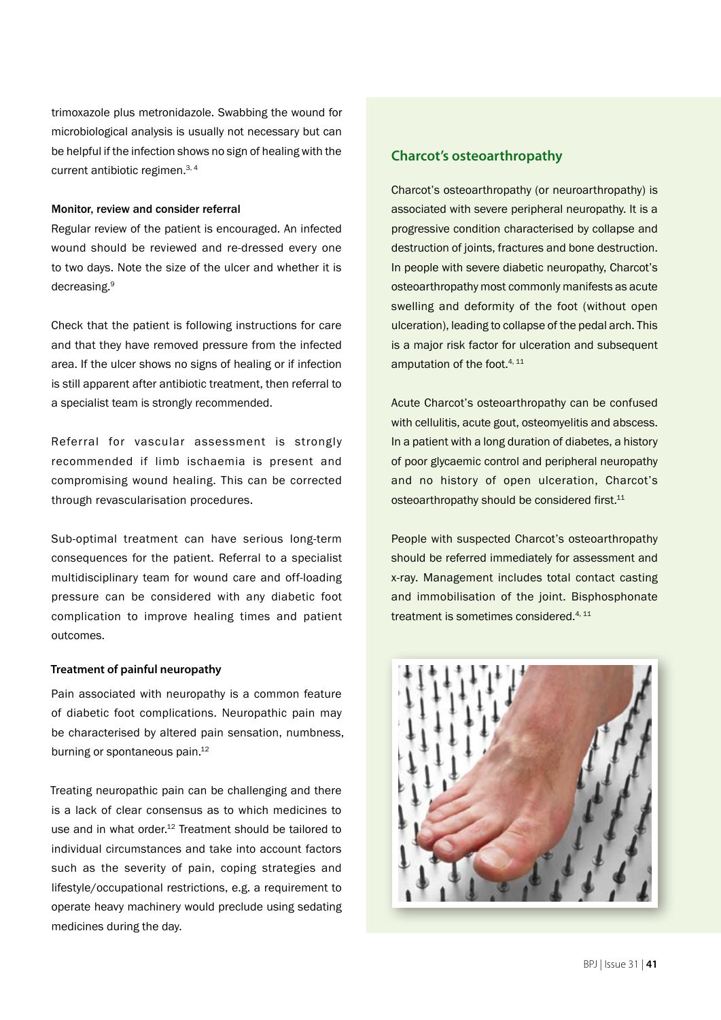trimoxazole plus metronidazole. Swabbing the wound for microbiological analysis is usually not necessary but can be helpful if the infection shows no sign of healing with the current antibiotic regimen.3, 4

#### Monitor, review and consider referral

Regular review of the patient is encouraged. An infected wound should be reviewed and re-dressed every one to two days. Note the size of the ulcer and whether it is decreasing.9

Check that the patient is following instructions for care and that they have removed pressure from the infected area. If the ulcer shows no signs of healing or if infection is still apparent after antibiotic treatment, then referral to a specialist team is strongly recommended.

Referral for vascular assessment is strongly recommended if limb ischaemia is present and compromising wound healing. This can be corrected through revascularisation procedures.

Sub-optimal treatment can have serious long-term consequences for the patient. Referral to a specialist multidisciplinary team for wound care and off-loading pressure can be considered with any diabetic foot complication to improve healing times and patient outcomes.

#### **Treatment of painful neuropathy**

Pain associated with neuropathy is a common feature of diabetic foot complications. Neuropathic pain may be characterised by altered pain sensation, numbness, burning or spontaneous pain.<sup>12</sup>

Treating neuropathic pain can be challenging and there is a lack of clear consensus as to which medicines to use and in what order.<sup>12</sup> Treatment should be tailored to individual circumstances and take into account factors such as the severity of pain, coping strategies and lifestyle/occupational restrictions, e.g. a requirement to operate heavy machinery would preclude using sedating medicines during the day.

## **Charcot's osteoarthropathy**

Charcot's osteoarthropathy (or neuroarthropathy) is associated with severe peripheral neuropathy. It is a progressive condition characterised by collapse and destruction of joints, fractures and bone destruction. In people with severe diabetic neuropathy, Charcot's osteoarthropathy most commonly manifests as acute swelling and deformity of the foot (without open ulceration), leading to collapse of the pedal arch. This is a major risk factor for ulceration and subsequent amputation of the foot.<sup>4, 11</sup>

Acute Charcot's osteoarthropathy can be confused with cellulitis, acute gout, osteomyelitis and abscess. In a patient with a long duration of diabetes, a history of poor glycaemic control and peripheral neuropathy and no history of open ulceration, Charcot's osteoarthropathy should be considered first.<sup>11</sup>

People with suspected Charcot's osteoarthropathy should be referred immediately for assessment and x-ray. Management includes total contact casting and immobilisation of the joint. Bisphosphonate treatment is sometimes considered.<sup>4, 11</sup>

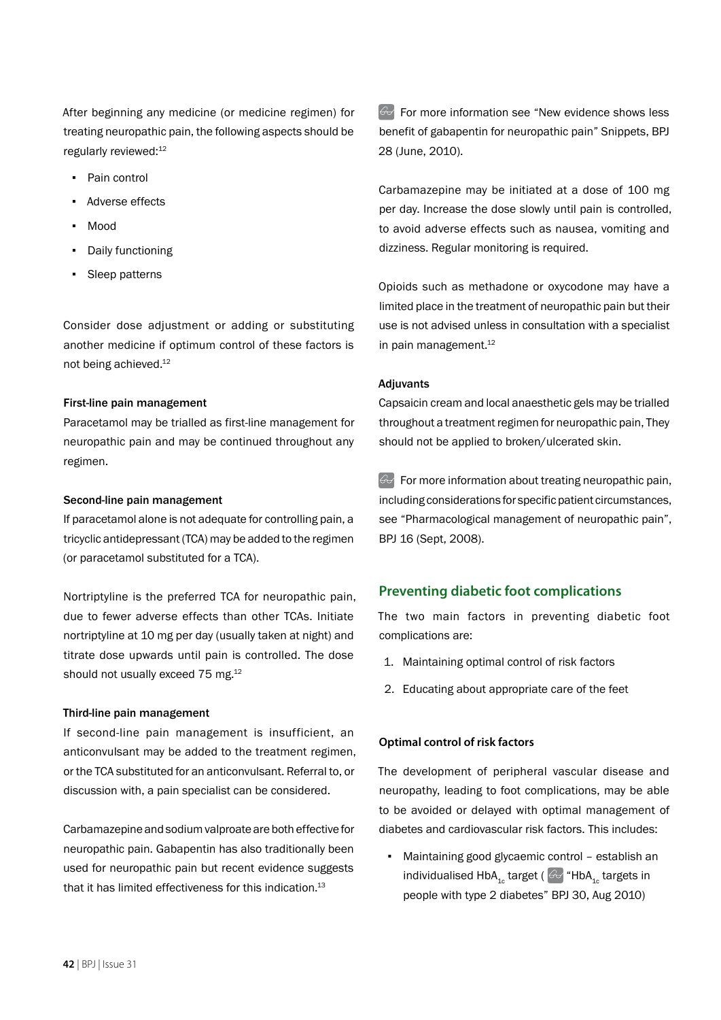After beginning any medicine (or medicine regimen) for treating neuropathic pain, the following aspects should be regularly reviewed:12

- Pain control
- Adverse effects
- **Mood**
- Daily functioning
- Sleep patterns

Consider dose adjustment or adding or substituting another medicine if optimum control of these factors is not being achieved.12

#### First-line pain management

Paracetamol may be trialled as first-line management for neuropathic pain and may be continued throughout any regimen.

#### Second-line pain management

If paracetamol alone is not adequate for controlling pain, a tricyclic antidepressant (TCA) may be added to the regimen (or paracetamol substituted for a TCA).

Nortriptyline is the preferred TCA for neuropathic pain, due to fewer adverse effects than other TCAs. Initiate nortriptyline at 10 mg per day (usually taken at night) and titrate dose upwards until pain is controlled. The dose should not usually exceed 75 mg.<sup>12</sup>

#### Third-line pain management

If second-line pain management is insufficient, an anticonvulsant may be added to the treatment regimen, or the TCA substituted for an anticonvulsant. Referral to, or discussion with, a pain specialist can be considered.

Carbamazepine and sodium valproate are both effective for neuropathic pain. Gabapentin has also traditionally been used for neuropathic pain but recent evidence suggests that it has limited effectiveness for this indication. $13$ 

 $\Theta$  For more information see "New evidence shows less benefit of gabapentin for neuropathic pain" Snippets, BPJ 28 (June, 2010).

Carbamazepine may be initiated at a dose of 100 mg per day. Increase the dose slowly until pain is controlled, to avoid adverse effects such as nausea, vomiting and dizziness. Regular monitoring is required.

Opioids such as methadone or oxycodone may have a limited place in the treatment of neuropathic pain but their use is not advised unless in consultation with a specialist in pain management.<sup>12</sup>

#### Adjuvants

Capsaicin cream and local anaesthetic gels may be trialled throughout a treatment regimen for neuropathic pain, They should not be applied to broken/ulcerated skin.

 $\mathbb{G}$  For more information about treating neuropathic pain, including considerations for specific patient circumstances, see "Pharmacological management of neuropathic pain", BPJ 16 (Sept, 2008).

## **Preventing diabetic foot complications**

The two main factors in preventing diabetic foot complications are:

- 1. Maintaining optimal control of risk factors
- 2. Educating about appropriate care of the feet

#### **Optimal control of risk factors**

The development of peripheral vascular disease and neuropathy, leading to foot complications, may be able to be avoided or delayed with optimal management of diabetes and cardiovascular risk factors. This includes:

Maintaining good glycaemic control - establish an individualised HbA<sub>1c</sub> target ( $\omega$  "HbA<sub>1c</sub> targets in people with type 2 diabetes" BPJ 30, Aug 2010)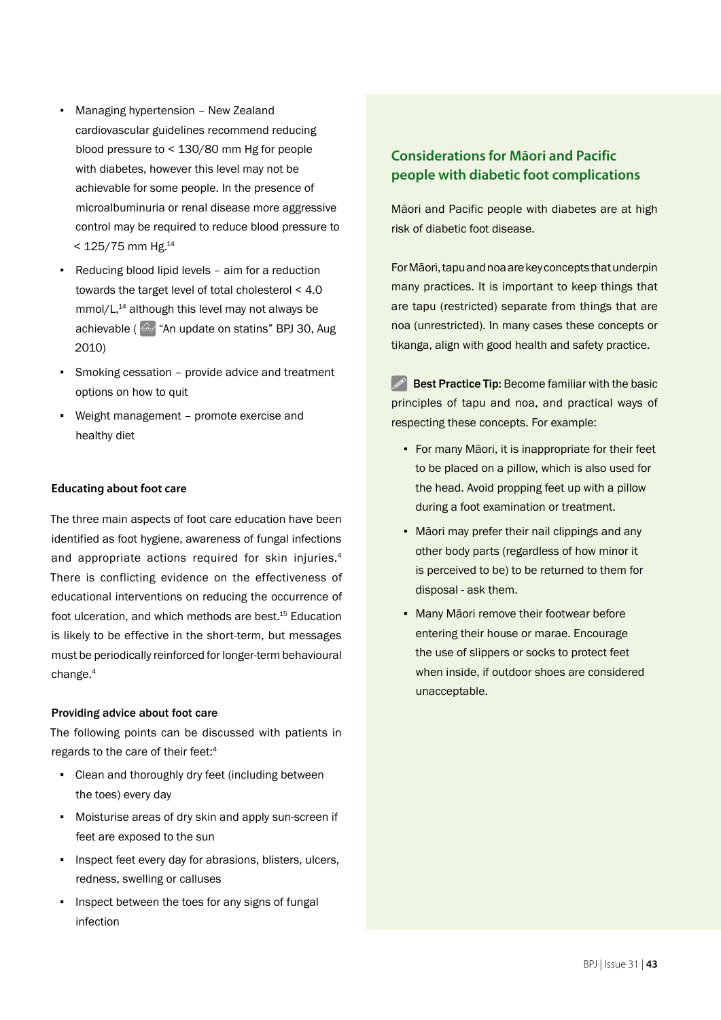- Managing hypertension New Zealand cardiovascular guidelines recommend reducing blood pressure to < 130/80 mm Hg for people with diabetes, however this level may not be achievable for some people. In the presence of microalbuminuria or renal disease more aggressive control may be required to reduce blood pressure to  $< 125/75$  mm Hg.<sup>14</sup>
- Reducing blood lipid levels aim for a reduction towards the target level of total cholesterol < 4.0  $mmol/L<sup>14</sup>$  although this level may not always be achievable ( $\odot$  "An update on statins" BPJ 30, Aug 2010)
- Smoking cessation provide advice and treatment options on how to quit
- Weight management promote exercise and healthy diet

#### **Educating about foot care**

The three main aspects of foot care education have been identified as foot hygiene, awareness of fungal infections and appropriate actions required for skin injuries.4 There is conflicting evidence on the effectiveness of educational interventions on reducing the occurrence of foot ulceration, and which methods are best.<sup>15</sup> Education is likely to be effective in the short-term, but messages must be periodically reinforced for longer-term behavioural change.4

#### Providing advice about foot care

The following points can be discussed with patients in regards to the care of their feet:4

- Clean and thoroughly dry feet (including between the toes) every day
- Moisturise areas of dry skin and apply sun-screen if feet are exposed to the sun
- **·** Inspect feet every day for abrasions, blisters, ulcers, redness, swelling or calluses
- **·** Inspect between the toes for any signs of fungal infection

## **Considerations for Māori and Pacific people with diabetic foot complications**

Māori and Pacific people with diabetes are at high risk of diabetic foot disease.

For Māori, tapu and noa are key concepts that underpin many practices. It is important to keep things that are tapu (restricted) separate from things that are noa (unrestricted). In many cases these concepts or tikanga, align with good health and safety practice.

 $\mathscr{P}$  Best Practice Tip: Become familiar with the basic principles of tapu and noa, and practical ways of respecting these concepts. For example:

- For many Māori, it is inappropriate for their feet to be placed on a pillow, which is also used for the head. Avoid propping feet up with a pillow during a foot examination or treatment.
- Māori may prefer their nail clippings and any other body parts (regardless of how minor it is perceived to be) to be returned to them for disposal - ask them.
- Many Māori remove their footwear before entering their house or marae. Encourage the use of slippers or socks to protect feet when inside, if outdoor shoes are considered unacceptable.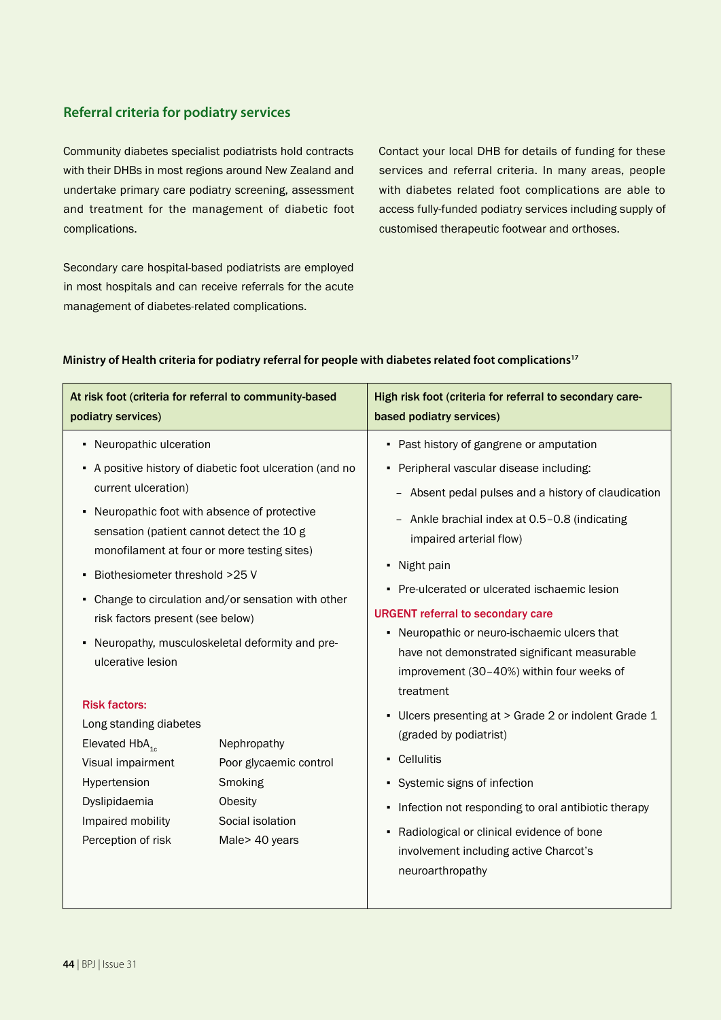## **Referral criteria for podiatry services**

Community diabetes specialist podiatrists hold contracts with their DHBs in most regions around New Zealand and undertake primary care podiatry screening, assessment and treatment for the management of diabetic foot complications.

services and referral criteria. In many areas, people with diabetes related foot complications are able to access fully-funded podiatry services including supply of customised therapeutic footwear and orthoses.

Contact your local DHB for details of funding for these

Secondary care hospital-based podiatrists are employed in most hospitals and can receive referrals for the acute management of diabetes-related complications.

#### **Ministry of Health criteria for podiatry referral for people with diabetes related foot complications17**

| At risk foot (criteria for referral to community-based<br>podiatry services)                                                                                                                                                                                                                                                                                                                                                                                                     |                                                                                                                                                                                                                                                                      | High risk foot (criteria for referral to secondary care-<br>based podiatry services)                                                                                                                                                                                                                                                                                                                                                                                                                                                                                                                                                                                                                                                                                                                  |
|----------------------------------------------------------------------------------------------------------------------------------------------------------------------------------------------------------------------------------------------------------------------------------------------------------------------------------------------------------------------------------------------------------------------------------------------------------------------------------|----------------------------------------------------------------------------------------------------------------------------------------------------------------------------------------------------------------------------------------------------------------------|-------------------------------------------------------------------------------------------------------------------------------------------------------------------------------------------------------------------------------------------------------------------------------------------------------------------------------------------------------------------------------------------------------------------------------------------------------------------------------------------------------------------------------------------------------------------------------------------------------------------------------------------------------------------------------------------------------------------------------------------------------------------------------------------------------|
| • Neuropathic ulceration<br>current ulceration)<br>• Neuropathic foot with absence of protective<br>sensation (patient cannot detect the 10 g<br>monofilament at four or more testing sites)<br>Biothesiometer threshold >25 V<br>٠<br>٠<br>risk factors present (see below)<br>٠<br>ulcerative lesion<br><b>Risk factors:</b><br>Long standing diabetes<br>Elevated $HbA_{1c}$<br>Visual impairment<br>Hypertension<br>Dyslipidaemia<br>Impaired mobility<br>Perception of risk | • A positive history of diabetic foot ulceration (and no<br>Change to circulation and/or sensation with other<br>Neuropathy, musculoskeletal deformity and pre-<br>Nephropathy<br>Poor glycaemic control<br>Smoking<br>Obesity<br>Social isolation<br>Male> 40 years | • Past history of gangrene or amputation<br>• Peripheral vascular disease including:<br>- Absent pedal pulses and a history of claudication<br>Ankle brachial index at 0.5-0.8 (indicating<br>impaired arterial flow)<br>• Night pain<br>• Pre-ulcerated or ulcerated ischaemic lesion<br><b>URGENT referral to secondary care</b><br>• Neuropathic or neuro-ischaemic ulcers that<br>have not demonstrated significant measurable<br>improvement (30-40%) within four weeks of<br>treatment<br>• Ulcers presenting at > Grade 2 or indolent Grade 1<br>(graded by podiatrist)<br>- Cellulitis<br>• Systemic signs of infection<br>• Infection not responding to oral antibiotic therapy<br>• Radiological or clinical evidence of bone<br>involvement including active Charcot's<br>neuroarthropathy |
|                                                                                                                                                                                                                                                                                                                                                                                                                                                                                  |                                                                                                                                                                                                                                                                      |                                                                                                                                                                                                                                                                                                                                                                                                                                                                                                                                                                                                                                                                                                                                                                                                       |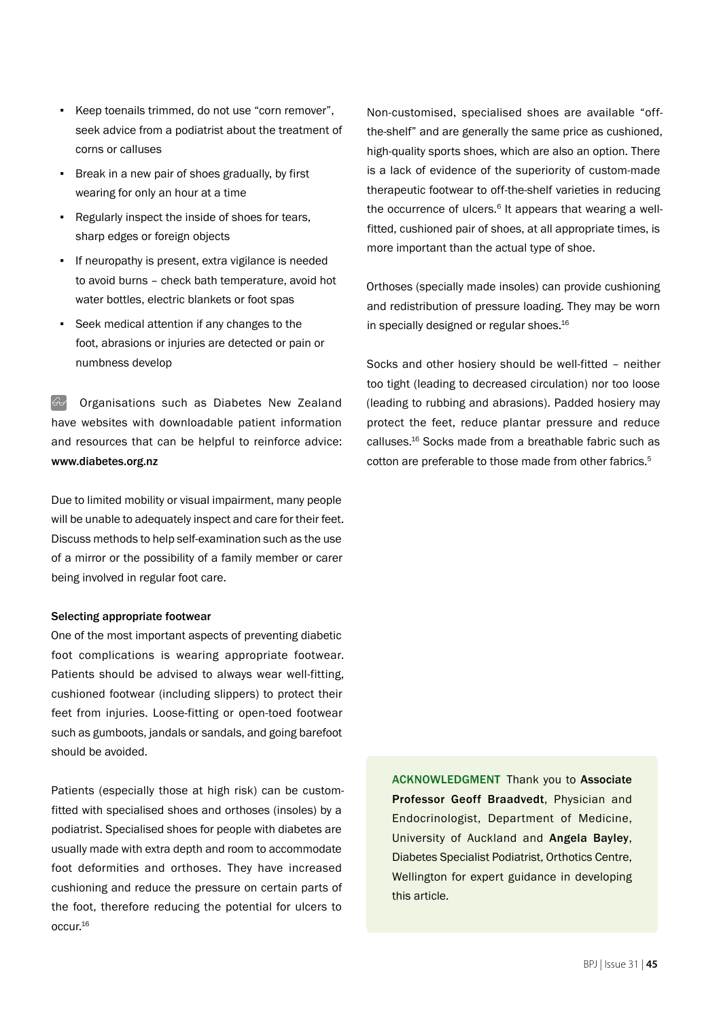- Keep toenails trimmed, do not use "corn remover", seek advice from a podiatrist about the treatment of corns or calluses
- Break in a new pair of shoes gradually, by first wearing for only an hour at a time
- Regularly inspect the inside of shoes for tears, sharp edges or foreign objects
- If neuropathy is present, extra vigilance is needed to avoid burns – check bath temperature, avoid hot water bottles, electric blankets or foot spas
- Seek medical attention if any changes to the foot, abrasions or injuries are detected or pain or numbness develop

 Organisations such as Diabetes New Zealand have websites with downloadable patient information and resources that can be helpful to reinforce advice: www.diabetes.org.nz

Due to limited mobility or visual impairment, many people will be unable to adequately inspect and care for their feet. Discuss methods to help self-examination such as the use of a mirror or the possibility of a family member or carer being involved in regular foot care.

#### Selecting appropriate footwear

One of the most important aspects of preventing diabetic foot complications is wearing appropriate footwear. Patients should be advised to always wear well-fitting, cushioned footwear (including slippers) to protect their feet from injuries. Loose-fitting or open-toed footwear such as gumboots, jandals or sandals, and going barefoot should be avoided.

Patients (especially those at high risk) can be customfitted with specialised shoes and orthoses (insoles) by a podiatrist. Specialised shoes for people with diabetes are usually made with extra depth and room to accommodate foot deformities and orthoses. They have increased cushioning and reduce the pressure on certain parts of the foot, therefore reducing the potential for ulcers to occur.16

Non-customised, specialised shoes are available "offthe-shelf" and are generally the same price as cushioned, high-quality sports shoes, which are also an option. There is a lack of evidence of the superiority of custom-made therapeutic footwear to off-the-shelf varieties in reducing the occurrence of ulcers. $6$  It appears that wearing a wellfitted, cushioned pair of shoes, at all appropriate times, is more important than the actual type of shoe.

Orthoses (specially made insoles) can provide cushioning and redistribution of pressure loading. They may be worn in specially designed or regular shoes.<sup>16</sup>

Socks and other hosiery should be well-fitted – neither too tight (leading to decreased circulation) nor too loose (leading to rubbing and abrasions). Padded hosiery may protect the feet, reduce plantar pressure and reduce calluses.16 Socks made from a breathable fabric such as cotton are preferable to those made from other fabrics.<sup>5</sup>

ACKNOWLEDGMENT Thank you to Associate Professor Geoff Braadvedt, Physician and Endocrinologist, Department of Medicine, University of Auckland and Angela Bayley, Diabetes Specialist Podiatrist, Orthotics Centre, Wellington for expert guidance in developing this article.